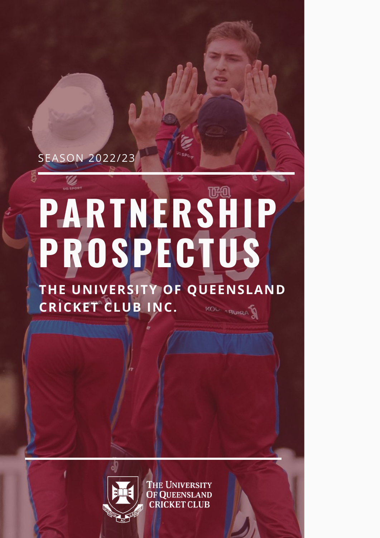## SEASON 2022/23

# **PARTNERSHIP PROSPECTUS**

**THE UNIVERSITY OF QUEENSLAND CRICKET CLUB INC.** KOL . BURA



**THE UNIVERSITY OF OUEENSLAND CRICKET CLUB**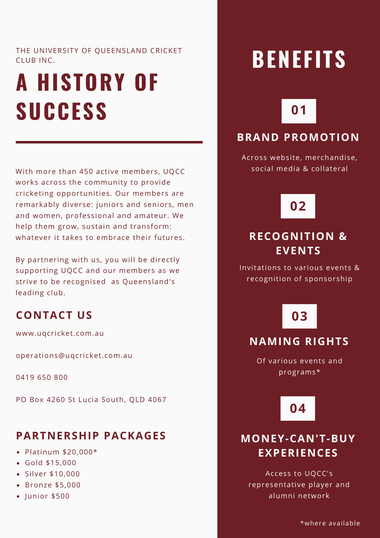#### THE UNIVERSITY OF QUEENSLAND CRICKET CLUB INC.

## **A HISTORY OF SUCCESS**

With more than 450 active members, UQCC works across the community to provide cricketing opportunities. Our members are remarkably diverse: juniors and seniors, men and women, professional and amateur. We help them grow, sustain and transform: whatever it takes to embrace their futures.

By partnering with us, you will be directly supporting UQCC and our members as we strive to be recognised as Queensland's leading club.

#### **CONTACT US**

www.uqcricket.com.au

operations@uqcricket.com.au

0419 650 800

PO Box 4260 St Lucia South, QLD 4067

#### **PARTNERSHIP PACKAGES**

- Platinum \$20,000\*
- Gold \$15,000
- Silver \$10,000
- Bronze \$5,000
- $\bullet$  Junior \$500

## **BENEFITS**

## **01**

#### **BRAND PROMOTION**

Across website, merchandise, social media & collateral

## **02**

#### **RECOGNITION & EVENTS**

Invitations to various events & recognition of sponsorship

## **03**

#### **NAMING RIGHTS**

Of various events and programs\*

**04**

#### **MONEY-CAN'T-BUY EXPERIENCES**

Access to UQCC's representative player and alumni network

\*where available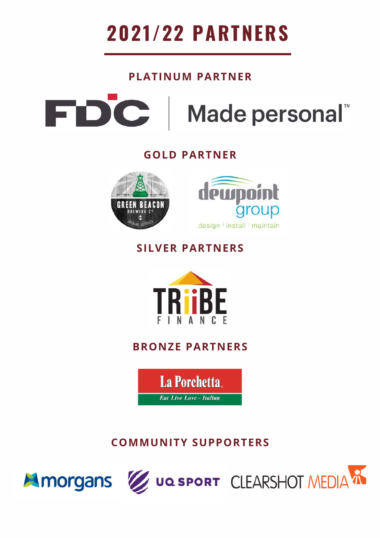

#### **PLATINUM PARTNER**

FDC Made personal

#### **GOLD PARTNER**





#### **SILVER PARTNERS**



#### **BRONZE PARTNERS**

La Porchetta. **Eat Live Love - Italian** 

### **COMMUNITY SUPPORTERS**





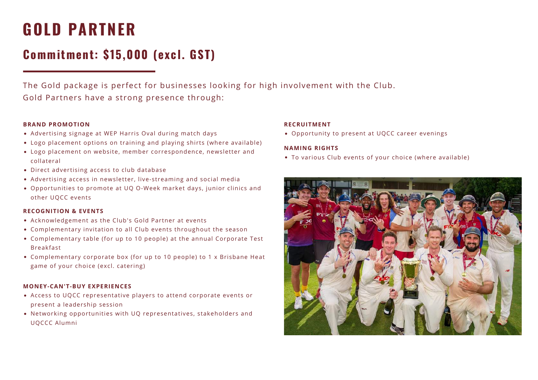## **GOLD PARTNER**

## **Commitment: \$15,000 (excl. GST)**

The Gold package is perfect for businesses looking for high involvement with the Club. Gold Partners have a strong presence through:

#### **BRAND PROMOTION**

- Advertising signage at WEP Harris Oval during match days
- Logo placement options on training and playing shirts (where available)
- Logo placement on website, member correspondence, newsletter and collateral
- Direct advertising access to club database
- Advertising access in newsletter, live-streaming and social media
- Opportunities to promote at UQ O-Week market days, junior clinics and other UQCC events

#### **RECOGNITION & EVENTS**

- Acknowledgement as the Club's Gold Partner at events
- Complementary invitation to all Club events throughout the season
- Complementary table (for up to 10 people) at the annual Corporate Test Breakfast
- Complementary corporate box (for up to 10 people) to 1 x Brisbane Heat game of your choice (excl. catering)

#### **MONEY-CAN'T-BUY EXPERIENCES**

- Access to UQCC representative players to attend corporate events or present a leadership session
- Networking opportunities with UQ representatives, stakeholders and UQCCC Alumni

#### **RECRUITMENT**

Opportunity to present at UQCC career evenings

#### **NAMING RIGHTS**

To various Club events of your choice (where available)

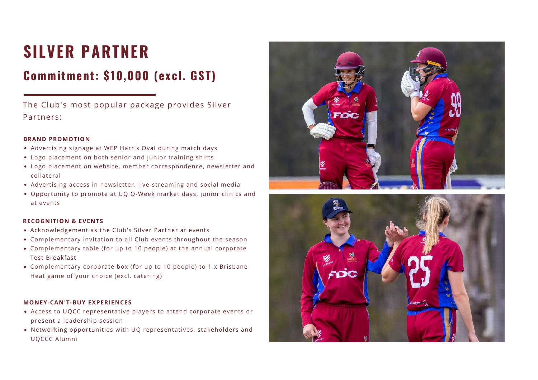## **SILVER PARTNER**

## **Commitment: \$10,000 (excl. GST)**

The Club's most popular package provides Silver Partners:

#### **BRAND PROMOTION**

- Advertising signage at WEP Harris Oval during match days
- Logo placement on both senior and junior training shirts
- Logo placement on website, member correspondence, newsletter and collateral
- Advertising access in newsletter, live-streaming and social media
- Opportunity to promote at UQ O-Week market days, junior clinics and at events

#### **RECOGNITION & EVENTS**

- Acknowledgement as the Club's Silver Partner at events
- Complementary invitation to all Club events throughout the season
- Complementary table (for up to 10 people) at the annual corporate Test Breakfast
- Complementary corporate box (for up to 10 people) to 1 x Brisbane Heat game of your choice (excl. catering)

#### **MONEY-CAN'T-BUY EXPERIENCES**

- Access to UQCC representative players to attend corporate events or present a leadership session
- Networking opportunities with UQ representatives, stakeholders and UQCCC Alumni



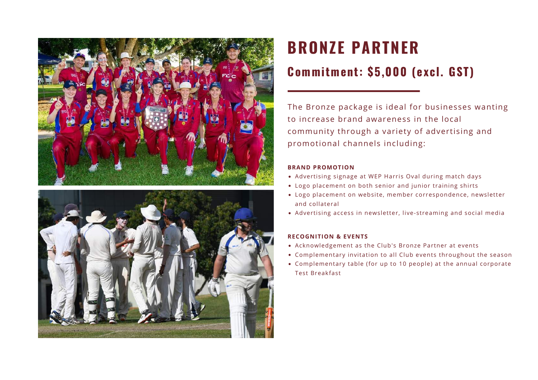



## **BRONZE PARTNER**

### **Commitment: \$5,000 (excl. GST)**

The Bronze package is ideal for businesses wanting to increase brand awareness in the local community through a variety of advertising and promotional channels including:

#### **BRAND PROMOTION**

- Advertising signage at WEP Harris Oval during match days
- Logo placement on both senior and junior training shirts
- Logo placement on website, member correspondence, newsletter and collateral
- Advertising access in newsletter, live-streaming and social media

#### **RECOGNITION & EVENTS**

- Acknowledgement as the Club's Bronze Partner at events
- Complementary invitation to all Club events throughout the season
- Complementary table (for up to 10 people) at the annual corporate Test Breakfast